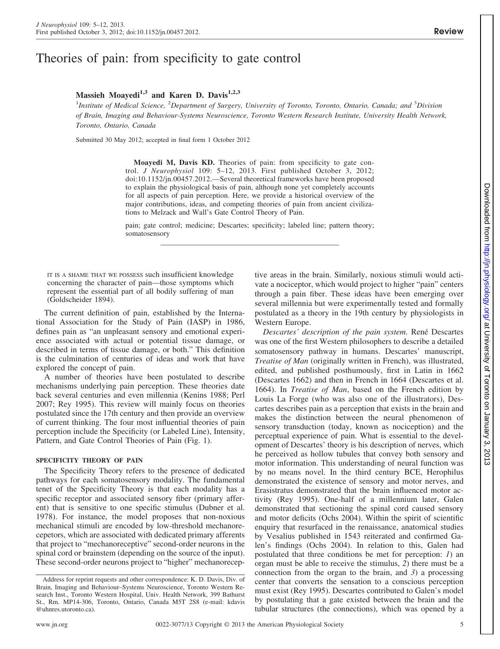# Theories of pain: from specificity to gate control

# **Massieh Moayedi1,3 and Karen D. Davis1,2,3**

<sup>1</sup> Institute of Medical Science, <sup>2</sup> Department of Surgery, University of Toronto, Toronto, Ontario, Canada; and <sup>3</sup> Division *of Brain, Imaging and Behaviour-Systems Neuroscience, Toronto Western Research Institute, University Health Network, Toronto, Ontario, Canada*

Submitted 30 May 2012; accepted in final form 1 October 2012

**Moayedi M, Davis KD.** Theories of pain: from specificity to gate control. *J Neurophysiol* 109: 5–12, 2013. First published October 3, 2012; doi:10.1152/jn.00457.2012.—Several theoretical frameworks have been proposed to explain the physiological basis of pain, although none yet completely accounts for all aspects of pain perception. Here, we provide a historical overview of the major contributions, ideas, and competing theories of pain from ancient civilizations to Melzack and Wall's Gate Control Theory of Pain.

pain; gate control; medicine; Descartes; specificity; labeled line; pattern theory; somatosensory

IT IS A SHAME THAT WE POSSESS such insufficient knowledge concerning the character of pain—those symptoms which represent the essential part of all bodily suffering of man (Goldscheider 1894).

The current definition of pain, established by the International Association for the Study of Pain (IASP) in 1986, defines pain as "an unpleasant sensory and emotional experience associated with actual or potential tissue damage, or described in terms of tissue damage, or both." This definition is the culmination of centuries of ideas and work that have explored the concept of pain.

A number of theories have been postulated to describe mechanisms underlying pain perception. These theories date back several centuries and even millennia (Kenins 1988; Perl 2007; Rey 1995). This review will mainly focus on theories postulated since the 17th century and then provide an overview of current thinking. The four most influential theories of pain perception include the Specificity (or Labeled Line), Intensity, Pattern, and Gate Control Theories of Pain (Fig. 1).

#### **SPECIFICITY THEORY OF PAIN**

The Specificity Theory refers to the presence of dedicated pathways for each somatosensory modality. The fundamental tenet of the Specificity Theory is that each modality has a specific receptor and associated sensory fiber (primary afferent) that is sensitive to one specific stimulus (Dubner et al. 1978). For instance, the model proposes that non-noxious mechanical stimuli are encoded by low-threshold mechanorecepetors, which are associated with dedicated primary afferents that project to "mechanoreceptive" second-order neurons in the spinal cord or brainstem (depending on the source of the input). These second-order neurons project to "higher" mechanoreceptive areas in the brain. Similarly, noxious stimuli would activate a nociceptor, which would project to higher "pain" centers through a pain fiber. These ideas have been emerging over several millennia but were experimentally tested and formally postulated as a theory in the 19th century by physiologists in Western Europe.

*Descartes' description of the pain system.* René Descartes was one of the first Western philosophers to describe a detailed somatosensory pathway in humans. Descartes' manuscript, *Treatise of Man* (originally written in French), was illustrated, edited, and published posthumously, first in Latin in 1662 (Descartes 1662) and then in French in 1664 (Descartes et al. 1664). In *Treatise of Man*, based on the French edition by Louis La Forge (who was also one of the illustrators), Descartes describes pain as a perception that exists in the brain and makes the distinction between the neural phenomenon of sensory transduction (today, known as nociception) and the perceptual experience of pain. What is essential to the development of Descartes' theory is his description of nerves, which he perceived as hollow tubules that convey both sensory and motor information. This understanding of neural function was by no means novel. In the third century BCE, Herophilus demonstrated the existence of sensory and motor nerves, and Erasistratus demonstrated that the brain influenced motor activity (Rey 1995). One-half of a millennium later, Galen demonstrated that sectioning the spinal cord caused sensory and motor deficits (Ochs 2004). Within the spirit of scientific enquiry that resurfaced in the renaissance, anatomical studies by Vesalius published in 1543 reiterated and confirmed Galen's findings (Ochs 2004). In relation to this, Galen had postulated that three conditions be met for perception: *1*) an organ must be able to receive the stimulus, *2*) there must be a connection from the organ to the brain, and *3*) a processing center that converts the sensation to a conscious perception must exist (Rey 1995). Descartes contributed to Galen's model by postulating that a gate existed between the brain and the tubular structures (the connections), which was opened by a

Address for reprint requests and other correspondence: K. D. Davis, Div. of Brain, Imaging and Behaviour–Systems Neuroscience, Toronto Western Research Inst., Toronto Western Hospital, Univ. Health Network, 399 Bathurst St., Rm. MP14-306, Toronto, Ontario, Canada M5T 2S8 (e-mail: kdavis @uhnres.utoronto.ca).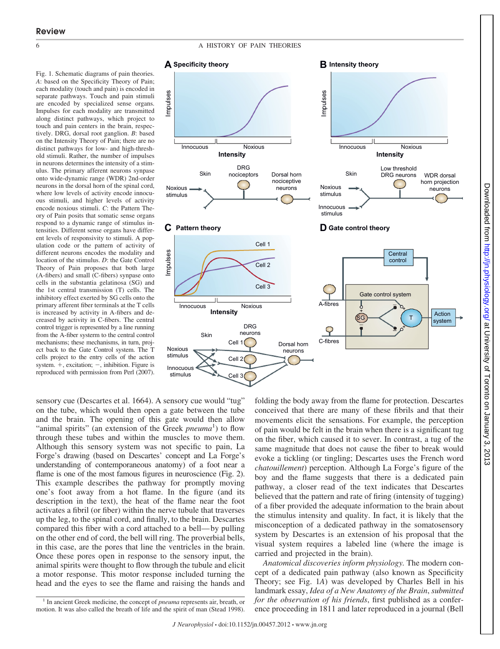Fig. 1. Schematic diagrams of pain theories. *A*: based on the Specificity Theory of Pain; each modality (touch and pain) is encoded in separate pathways. Touch and pain stimuli are encoded by specialized sense organs. Impulses for each modality are transmitted along distinct pathways, which project to touch and pain centers in the brain, respectively. DRG, dorsal root ganglion. *B*: based on the Intensity Theory of Pain; there are no distinct pathways for low- and high-threshold stimuli. Rather, the number of impulses in neurons determines the intensity of a stimulus. The primary afferent neurons synpase onto wide-dynamic range (WDR) 2nd-order neurons in the dorsal horn of the spinal cord, where low levels of activity encode innocuous stimuli, and higher levels of activity encode noxious stimuli. *C*: the Pattern Theory of Pain posits that somatic sense organs respond to a dynamic range of stimulus intensities. Different sense organs have different levels of responsivity to stimuli. A population code or the pattern of activity of different neurons encodes the modality and location of the stimulus. *D*: the Gate Control Theory of Pain proposes that both large (A-fibers) and small (C-fibers) synpase onto cells in the substantia gelatinosa (SG) and the 1st central transmission (T) cells. The inhibitory effect exerted by SG cells onto the primary afferent fiber terminals at the T cells is increased by activity in A-fibers and decreased by activity in C-fibers. The central control trigger is represented by a line running from the A-fiber systerm to the central control mechanisms; these mechanisms, in turn, project back to the Gate Control system. The T cells project to the entry cells of the action system.  $+$ , excitation;  $-$ , inhibition. Figure is reproduced with permission from Perl (2007).



sensory cue (Descartes et al. 1664). A sensory cue would "tug" on the tube, which would then open a gate between the tube and the brain. The opening of this gate would then allow "animal spirits" (an extension of the Greek *pneuma*<sup>1</sup>) to flow through these tubes and within the muscles to move them. Although this sensory system was not specific to pain, La Forge's drawing (based on Descartes' concept and La Forge's understanding of contemporaneous anatomy) of a foot near a flame is one of the most famous figures in neuroscience (Fig. 2). This example describes the pathway for promptly moving one's foot away from a hot flame. In the figure (and its description in the text), the heat of the flame near the foot activates a fibril (or fiber) within the nerve tubule that traverses up the leg, to the spinal cord, and finally, to the brain. Descartes compared this fiber with a cord attached to a bell— by pulling on the other end of cord, the bell will ring. The proverbial bells, in this case, are the pores that line the ventricles in the brain. Once these pores open in response to the sensory input, the animal spirits were thought to flow through the tubule and elicit a motor response. This motor response included turning the head and the eyes to see the flame and raising the hands and

folding the body away from the flame for protection. Descartes conceived that there are many of these fibrils and that their movements elicit the sensations. For example, the perception of pain would be felt in the brain when there is a significant tug on the fiber, which caused it to sever. In contrast, a tug of the same magnitude that does not cause the fiber to break would evoke a tickling (or tingling; Descartes uses the French word *chatouillement*) perception. Although La Forge's figure of the boy and the flame suggests that there is a dedicated pain pathway, a closer read of the text indicates that Descartes believed that the pattern and rate of firing (intensity of tugging) of a fiber provided the adequate information to the brain about the stimulus intensity and quality. In fact, it is likely that the misconception of a dedicated pathway in the somatosensory system by Descartes is an extension of his proposal that the visual system requires a labeled line (where the image is carried and projected in the brain).

*Anatomical discoveries inform physiology.* The modern concept of a dedicated pain pathway (also known as Specificity Theory; see Fig. 1*A*) was developed by Charles Bell in his landmark essay, *Idea of a New Anatomy of the Brain*, *submitted for the observation of his friends*, first published as a conference proceeding in 1811 and later reproduced in a journal (Bell

<sup>1</sup> In ancient Greek medicine, the concept of *pneuma* represents air, breath, or motion. It was also called the breath of life and the spirit of man (Stead 1998).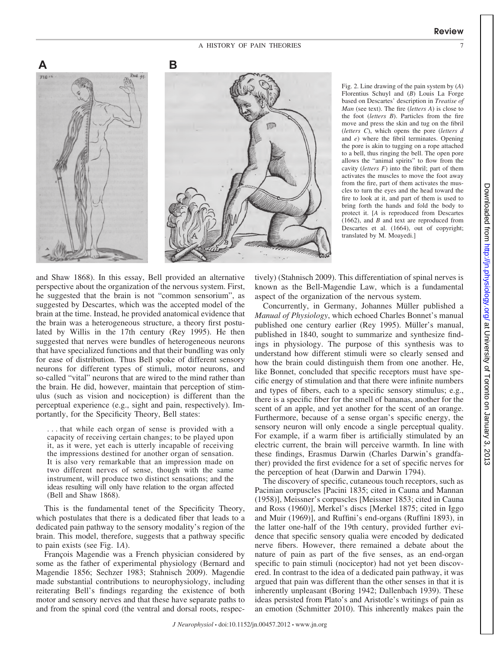#### A HISTORY OF PAIN THEORIES





Fig. 2. Line drawing of the pain system by (*A*) Florentius Schuyl and (*B*) Louis La Forge based on Descartes' description in *Treatise of Man* (see text). The fire (*letters A*) is close to the foot (*letters B*). Particles from the fire move and press the skin and tug on the fibril (*letters C*), which opens the pore (*letters d* and *e*) where the fibril terminates. Opening the pore is akin to tugging on a rope attached to a bell, thus ringing the bell. The open pore allows the "animal spirits" to flow from the cavity (*letters F*) into the fibril; part of them activates the muscles to move the foot away from the fire, part of them activates the muscles to turn the eyes and the head toward the fire to look at it, and part of them is used to bring forth the hands and fold the body to protect it. [*A* is reproduced from Descartes (1662), and *B* and text are reproduced from Descartes et al. (1664), out of copyright; translated by M. Moayedi.]

and Shaw 1868). In this essay, Bell provided an alternative perspective about the organization of the nervous system. First, he suggested that the brain is not "common sensorium", as suggested by Descartes, which was the accepted model of the brain at the time. Instead, he provided anatomical evidence that the brain was a heterogeneous structure, a theory first postulated by Willis in the 17th century (Rey 1995). He then suggested that nerves were bundles of heterogeneous neurons that have specialized functions and that their bundling was only for ease of distribution. Thus Bell spoke of different sensory neurons for different types of stimuli, motor neurons, and so-called "vital" neurons that are wired to the mind rather than the brain. He did, however, maintain that perception of stimulus (such as vision and nociception) is different than the perceptual experience (e.g., sight and pain, respectively). Importantly, for the Specificity Theory, Bell states:

. . . that while each organ of sense is provided with a capacity of receiving certain changes; to be played upon it, as it were, yet each is utterly incapable of receiving the impressions destined for another organ of sensation. It is also very remarkable that an impression made on two different nerves of sense, though with the same instrument, will produce two distinct sensations; and the ideas resulting will only have relation to the organ affected (Bell and Shaw 1868).

This is the fundamental tenet of the Specificity Theory, which postulates that there is a dedicated fiber that leads to a dedicated pain pathway to the sensory modality's region of the brain. This model, therefore, suggests that a pathway specific to pain exists (see Fig. 1*A*).

François Magendie was a French physician considered by some as the father of experimental physiology (Bernard and Magendie 1856; Sechzer 1983; Stahnisch 2009). Magendie made substantial contributions to neurophysiology, including reiterating Bell's findings regarding the existence of both motor and sensory nerves and that these have separate paths to and from the spinal cord (the ventral and dorsal roots, respectively) (Stahnisch 2009). This differentiation of spinal nerves is known as the Bell-Magendie Law, which is a fundamental aspect of the organization of the nervous system.

Concurrently, in Germany, Johannes Müller published a *Manual of Physiology*, which echoed Charles Bonnet's manual published one century earlier (Rey 1995). Müller's manual, published in 1840, sought to summarize and synthesize findings in physiology. The purpose of this synthesis was to understand how different stimuli were so clearly sensed and how the brain could distinguish them from one another. He, like Bonnet, concluded that specific receptors must have specific energy of stimulation and that there were infinite numbers and types of fibers, each to a specific sensory stimulus; e.g., there is a specific fiber for the smell of bananas, another for the scent of an apple, and yet another for the scent of an orange. Furthermore, because of a sense organ's specific energy, the sensory neuron will only encode a single perceptual quality. For example, if a warm fiber is artificially stimulated by an electric current, the brain will perceive warmth. In line with these findings, Erasmus Darwin (Charles Darwin's grandfather) provided the first evidence for a set of specific nerves for the perception of heat (Darwin and Darwin 1794).

The discovery of specific, cutaneous touch receptors, such as Pacinian corpuscles [Pacini 1835; cited in Cauna and Mannan (1958)], Meissner's corpuscles [Meissner 1853; cited in Cauna and Ross (1960)], Merkel's discs [Merkel 1875; cited in Iggo and Muir (1969)], and Ruffini's end-organs (Ruffini 1893), in the latter one-half of the 19th century, provided further evidence that specific sensory qualia were encoded by dedicated nerve fibers. However, there remained a debate about the nature of pain as part of the five senses, as an end-organ specific to pain stimuli (nociceptor) had not yet been discovered. In contrast to the idea of a dedicated pain pathway, it was argued that pain was different than the other senses in that it is inherently unpleasant (Boring 1942; Dallenbach 1939). These ideas persisted from Plato's and Aristotle's writings of pain as an emotion (Schmitter 2010). This inherently makes pain the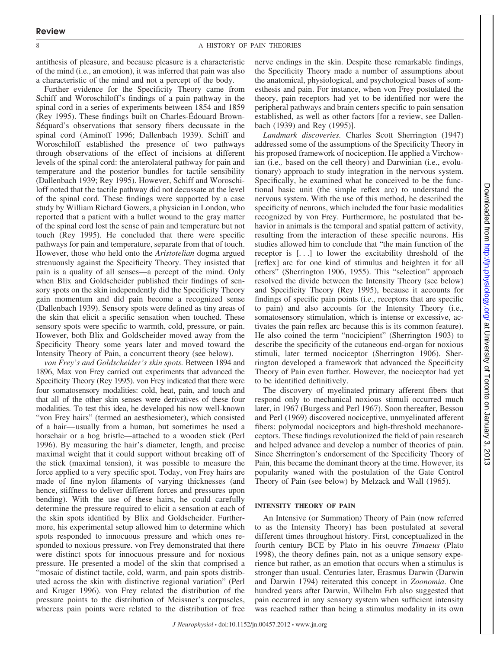antithesis of pleasure, and because pleasure is a characteristic of the mind (i.e., an emotion), it was inferred that pain was also a characteristic of the mind and not a percept of the body.

Further evidence for the Specificity Theory came from Schiff and Woroschiloff's findings of a pain pathway in the spinal cord in a series of experiments between 1854 and 1859 (Rey 1995). These findings built on Charles-Édouard Brown-Séquard's observations that sensory fibers decussate in the spinal cord (Aminoff 1996; Dallenbach 1939). Schiff and Woroschiloff established the presence of two pathways through observations of the effect of incisions at different levels of the spinal cord: the anterolateral pathway for pain and temperature and the posterior bundles for tactile sensibility (Dallenbach 1939; Rey 1995). However, Schiff and Woroschiloff noted that the tactile pathway did not decussate at the level of the spinal cord. These findings were supported by a case study by William Richard Gowers, a physician in London, who reported that a patient with a bullet wound to the gray matter of the spinal cord lost the sense of pain and temperature but not touch (Rey 1995). He concluded that there were specific pathways for pain and temperature, separate from that of touch. However, those who held onto the *Aristotelian* dogma argued strenuously against the Specificity Theory. They insisted that pain is a quality of all senses—a percept of the mind. Only when Blix and Goldscheider published their findings of sensory spots on the skin independently did the Specificity Theory gain momentum and did pain become a recognized sense (Dallenbach 1939). Sensory spots were defined as tiny areas of the skin that elicit a specific sensation when touched. These sensory spots were specific to warmth, cold, pressure, or pain. However, both Blix and Goldscheider moved away from the Specificity Theory some years later and moved toward the Intensity Theory of Pain, a concurrent theory (see below).

*von Frey's and Goldscheider's skin spots.* Between 1894 and 1896, Max von Frey carried out experiments that advanced the Specificity Theory (Rey 1995). von Frey indicated that there were four somatosensory modalities: cold, heat, pain, and touch and that all of the other skin senses were derivatives of these four modalities. To test this idea, he developed his now well-known "von Frey hairs" (termed an aesthesiometer), which consisted of a hair— usually from a human, but sometimes he used a horsehair or a hog bristle—attached to a wooden stick (Perl 1996). By measuring the hair's diameter, length, and precise maximal weight that it could support without breaking off of the stick (maximal tension), it was possible to measure the force applied to a very specific spot. Today, von Frey hairs are made of fine nylon filaments of varying thicknesses (and hence, stiffness to deliver different forces and pressures upon bending). With the use of these hairs, he could carefully determine the pressure required to elicit a sensation at each of the skin spots identified by Blix and Goldscheider. Furthermore, his experimental setup allowed him to determine which spots responded to innocuous pressure and which ones responded to noxious pressure. von Frey demonstrated that there were distinct spots for innocuous pressure and for noxious pressure. He presented a model of the skin that comprised a "mosaic of distinct tactile, cold, warm, and pain spots distributed across the skin with distinctive regional variation" (Perl and Kruger 1996). von Frey related the distribution of the pressure points to the distribution of Meissner's corpuscles, whereas pain points were related to the distribution of free

nerve endings in the skin. Despite these remarkable findings, the Specificity Theory made a number of assumptions about the anatomical, physiological, and psychological bases of somesthesis and pain. For instance, when von Frey postulated the theory, pain receptors had yet to be identified nor were the peripheral pathways and brain centers specific to pain sensation established, as well as other factors [for a review, see Dallenbach (1939) and Rey (1995)].

*Landmark discoveries.* Charles Scott Sherrington (1947) addressed some of the assumptions of the Specificity Theory in his proposed framework of nociception. He applied a Virchowian (i.e.*,* based on the cell theory) and Darwinian (i.e., evolutionary) approach to study integration in the nervous system. Specifically, he examined what he conceived to be the functional basic unit (the simple reflex arc) to understand the nervous system. With the use of this method, he described the specificity of neurons, which included the four basic modalities recognized by von Frey. Furthermore, he postulated that behavior in animals is the temporal and spatial pattern of activity, resulting from the interaction of these specific neurons. His studies allowed him to conclude that "the main function of the receptor is [. . .] to lower the excitability threshold of the [reflex] arc for one kind of stimulus and heighten it for all others" (Sherrington 1906, 1955). This "selection" approach resolved the divide between the Intensity Theory (see below) and Specificity Theory (Rey 1995), because it accounts for findings of specific pain points (i.e., receptors that are specific to pain) and also accounts for the Intensity Theory (i.e., somatosensory stimulation, which is intense or excessive, activates the pain reflex arc because this is its common feature). He also coined the term "nocicipient" (Sherrington 1903) to describe the specificity of the cutaneous end-organ for noxious stimuli, later termed nociceptor (Sherrington 1906). Sherrington developed a framework that advanced the Specificity Theory of Pain even further. However, the nociceptor had yet to be identified definitively.

The discovery of myelinated primary afferent fibers that respond only to mechanical noxious stimuli occurred much later, in 1967 (Burgess and Perl 1967). Soon thereafter, Bessou and Perl (1969) discovered nociceptive, unmyelinated afferent fibers: polymodal nociceptors and high-threshold mechanoreceptors. These findings revolutionized the field of pain research and helped advance and develop a number of theories of pain. Since Sherrington's endorsement of the Specificity Theory of Pain, this became the dominant theory at the time. However, its popularity waned with the postulation of the Gate Control Theory of Pain (see below) by Melzack and Wall (1965).

# **INTENSITY THEORY OF PAIN**

An Intensive (or Summation) Theory of Pain (now referred to as the Intensity Theory) has been postulated at several different times throughout history. First, conceptualized in the fourth century BCE by Plato in his oeuvre *Timaeus* (Plato 1998), the theory defines pain, not as a unique sensory experience but rather, as an emotion that occurs when a stimulus is stronger than usual. Centuries later, Erasmus Darwin (Darwin and Darwin 1794) reiterated this concept in *Zoonomia*. One hundred years after Darwin, Wilhelm Erb also suggested that pain occurred in any sensory system when sufficient intensity was reached rather than being a stimulus modality in its own Downloaded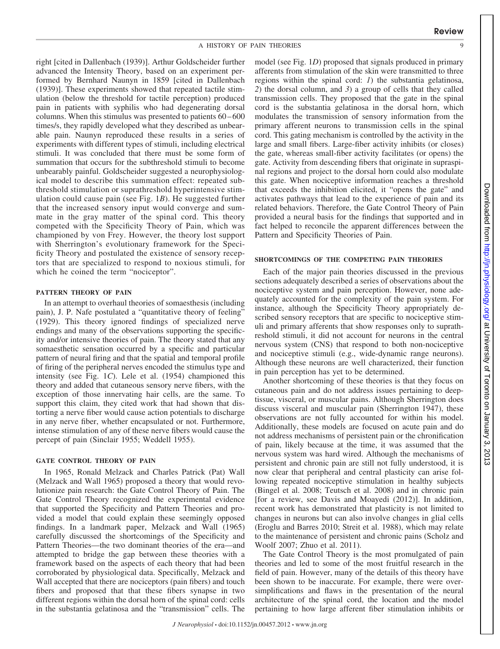right [cited in Dallenbach (1939)]. Arthur Goldscheider further advanced the Intensity Theory, based on an experiment performed by Bernhard Naunyn in 1859 [cited in Dallenbach (1939)]. These experiments showed that repeated tactile stimulation (below the threshold for tactile perception) produced pain in patients with syphilis who had degenerating dorsal columns. When this stimulus was presented to patients 60 – 600 times/s, they rapidly developed what they described as unbearable pain. Naunyn reproduced these results in a series of experiments with different types of stimuli, including electrical stimuli. It was concluded that there must be some form of summation that occurs for the subthreshold stimuli to become unbearably painful. Goldscheider suggested a neurophysiological model to describe this summation effect: repeated subthreshold stimulation or suprathreshold hyperintensive stimulation could cause pain (see Fig. 1*B*). He suggested further that the increased sensory input would converge and summate in the gray matter of the spinal cord. This theory competed with the Specificity Theory of Pain, which was championed by von Frey. However, the theory lost support with Sherrington's evolutionary framework for the Specificity Theory and postulated the existence of sensory receptors that are specialized to respond to noxious stimuli, for which he coined the term "nociceptor".

## **PATTERN THEORY OF PAIN**

In an attempt to overhaul theories of somaesthesis (including pain), J. P. Nafe postulated a "quantitative theory of feeling" (1929). This theory ignored findings of specialized nerve endings and many of the observations supporting the specificity and/or intensive theories of pain. The theory stated that any somaesthetic sensation occurred by a specific and particular pattern of neural firing and that the spatial and temporal profile of firing of the peripheral nerves encoded the stimulus type and intensity (see Fig. 1*C*). Lele et al. (1954) championed this theory and added that cutaneous sensory nerve fibers, with the exception of those innervating hair cells, are the same. To support this claim, they cited work that had shown that distorting a nerve fiber would cause action potentials to discharge in any nerve fiber, whether encapsulated or not. Furthermore, intense stimulation of any of these nerve fibers would cause the percept of pain (Sinclair 1955; Weddell 1955).

## **GATE CONTROL THEORY OF PAIN**

In 1965, Ronald Melzack and Charles Patrick (Pat) Wall (Melzack and Wall 1965) proposed a theory that would revolutionize pain research: the Gate Control Theory of Pain. The Gate Control Theory recognized the experimental evidence that supported the Specificity and Pattern Theories and provided a model that could explain these seemingly opposed findings. In a landmark paper, Melzack and Wall (1965) carefully discussed the shortcomings of the Specificity and Pattern Theories—the two dominant theories of the era—and attempted to bridge the gap between these theories with a framework based on the aspects of each theory that had been corroborated by physiological data. Specifically, Melzack and Wall accepted that there are nociceptors (pain fibers) and touch fibers and proposed that that these fibers synapse in two different regions within the dorsal horn of the spinal cord: cells in the substantia gelatinosa and the "transmission" cells. The

model (see Fig. 1*D*) proposed that signals produced in primary afferents from stimulation of the skin were transmitted to three regions within the spinal cord: *1*) the substantia gelatinosa, *2*) the dorsal column, and *3*) a group of cells that they called transmission cells. They proposed that the gate in the spinal cord is the substantia gelatinosa in the dorsal horn, which modulates the transmission of sensory information from the primary afferent neurons to transmission cells in the spinal cord. This gating mechanism is controlled by the activity in the large and small fibers. Large-fiber activity inhibits (or closes) the gate, whereas small-fiber activity facilitates (or opens) the gate. Activity from descending fibers that originate in supraspinal regions and project to the dorsal horn could also modulate this gate. When nociceptive information reaches a threshold that exceeds the inhibition elicited, it "opens the gate" and activates pathways that lead to the experience of pain and its related behaviors. Therefore, the Gate Control Theory of Pain provided a neural basis for the findings that supported and in fact helped to reconcile the apparent differences between the Pattern and Specificity Theories of Pain.

# **SHORTCOMINGS OF THE COMPETING PAIN THEORIES**

Each of the major pain theories discussed in the previous sections adequately described a series of observations about the nociceptive system and pain perception. However, none adequately accounted for the complexity of the pain system. For instance, although the Specificity Theory appropriately described sensory receptors that are specific to nociceptive stimuli and primary afferents that show responses only to suprathreshold stimuli, it did not account for neurons in the central nervous system (CNS) that respond to both non-nociceptive and nociceptive stimuli (e.g., wide-dynamic range neurons). Although these neurons are well characterized, their function in pain perception has yet to be determined.

Another shortcoming of these theories is that they focus on cutaneous pain and do not address issues pertaining to deeptissue, visceral, or muscular pains. Although Sherrington does discuss visceral and muscular pain (Sherrington 1947), these observations are not fully accounted for within his model. Additionally, these models are focused on acute pain and do not address mechanisms of persistent pain or the chronification of pain, likely because at the time, it was assumed that the nervous system was hard wired. Although the mechanisms of persistent and chronic pain are still not fully understood, it is now clear that peripheral and central plasticity can arise following repeated nociceptive stimulation in healthy subjects (Bingel et al. 2008; Teutsch et al. 2008) and in chronic pain [for a review, see Davis and Moayedi (2012)]. In addition, recent work has demonstrated that plasticity is not limited to changes in neurons but can also involve changes in glial cells (Eroglu and Barres 2010; Streit et al. 1988), which may relate to the maintenance of persistent and chronic pains (Scholz and Woolf 2007; Zhuo et al. 2011).

The Gate Control Theory is the most promulgated of pain theories and led to some of the most fruitful research in the field of pain. However, many of the details of this theory have been shown to be inaccurate. For example, there were oversimplifications and flaws in the presentation of the neural architecture of the spinal cord, the location and the model pertaining to how large afferent fiber stimulation inhibits or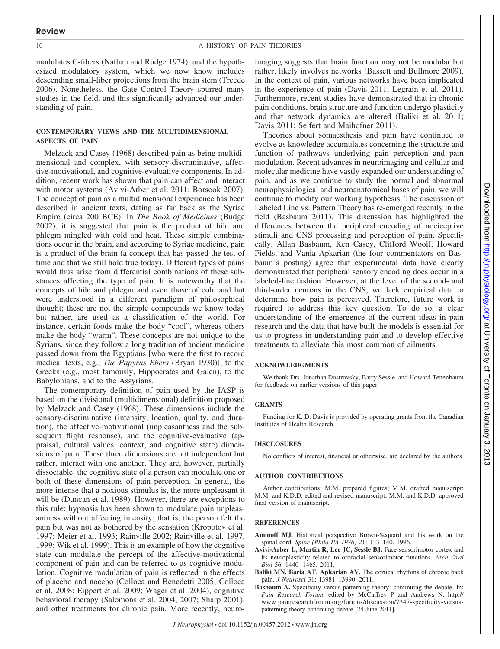modulates C-fibers (Nathan and Rudge 1974), and the hypothesized modulatory system, which we now know includes descending small-fiber projections from the brain stem (Treede 2006). Nonetheless, the Gate Control Theory spurred many studies in the field, and this significantly advanced our understanding of pain.

## **CONTEMPORARY VIEWS AND THE MULTIDIMENSIONAL ASPECTS OF PAIN**

Melzack and Casey (1968) described pain as being multidimensional and complex, with sensory-discriminative, affective-motivational, and cognitive-evaluative components. In addition, recent work has shown that pain can affect and interact with motor systems (Avivi-Arber et al. 2011; Borsook 2007). The concept of pain as a multidimensional experience has been described in ancient texts, dating as far back as the Syriac Empire (circa 200 BCE). In *The Book of Medicines* (Budge 2002), it is suggested that pain is the product of bile and phlegm mingled with cold and heat. These simple combinations occur in the brain, and according to Syriac medicine, pain is a product of the brain (a concept that has passed the test of time and that we still hold true today). Different types of pains would thus arise from differential combinations of these substances affecting the type of pain. It is noteworthy that the concepts of bile and phlegm and even those of cold and hot were understood in a different paradigm of philosophical thought; these are not the simple compounds we know today but rather, are used as a classification of the world. For instance, certain foods make the body "cool", whereas others make the body "warm". These concepts are not unique to the Syrians, since they follow a long tradition of ancient medicine passed down from the Egyptians [who were the first to record medical texts, e.g., *The Papyrus Ebers* (Bryan 1930)], to the Greeks (e.g., most famously, Hippocrates and Galen), to the Babylonians, and to the Assyrians.

The contemporary definition of pain used by the IASP is based on the divisional (multidimensional) definition proposed by Melzack and Casey (1968). These dimensions include the sensory-discriminative (intensity, location, quality, and duration), the affective-motivational (unpleasantness and the subsequent flight response), and the cognitive-evaluative (appraisal, cultural values, context, and cognitive state) dimensions of pain. These three dimensions are not independent but rather, interact with one another. They are, however, partially dissociable: the cognitive state of a person can modulate one or both of these dimensions of pain perception. In general, the more intense that a noxious stimulus is, the more unpleasant it will be (Duncan et al. 1989). However, there are exceptions to this rule: hypnosis has been shown to modulate pain unpleasantness without affecting intensity; that is, the person felt the pain but was not as bothered by the sensation (Kropotov et al. 1997; Meier et al. 1993; Rainville 2002; Rainville et al. 1997, 1999; Wik et al. 1999). This is an example of how the cognitive state can modulate the percept of the affective-motivational component of pain and can be referred to as cognitive modulation. Cognitive modulation of pain is reflected in the effects of placebo and nocebo (Colloca and Benedetti 2005; Colloca et al. 2008; Eippert et al. 2009; Wager et al. 2004), cognitive behavioral therapy (Salomons et al. 2004, 2007; Sharp 2001), and other treatments for chronic pain. More recently, neuro-

imaging suggests that brain function may not be modular but rather, likely involves networks (Bassett and Bullmore 2009). In the context of pain, various networks have been implicated in the experience of pain (Davis 2011; Legrain et al. 2011). Furthermore, recent studies have demonstrated that in chronic pain conditions, brain structure and function undergo plasticity and that network dynamics are altered (Baliki et al. 2011; Davis 2011; Seifert and Maihofner 2011).

Theories about somaesthesis and pain have continued to evolve as knowledge accumulates concerning the structure and function of pathways underlying pain perception and pain modulation. Recent advances in neuroimaging and cellular and molecular medicine have vastly expanded our understanding of pain, and as we continue to study the normal and abnormal neurophysiological and neuroanatomical bases of pain, we will continue to modify our working hypothesis. The discussion of Labeled Line vs. Pattern Theory has re-emerged recently in the field (Basbaum 2011). This discussion has highlighted the differences between the peripheral encoding of nociceptive stimuli and CNS processing and perception of pain. Specifically, Allan Basbaum, Ken Casey, Clifford Woolf, Howard Fields, and Vania Apkarian (the four commentators on Basbaum's posting) agree that experimental data have clearly demonstrated that peripheral sensory encoding does occur in a labeled-line fashion. However, at the level of the second- and third-order neurons in the CNS, we lack empirical data to determine how pain is perceived. Therefore, future work is required to address this key question. To do so, a clear understanding of the emergence of the current ideas in pain research and the data that have built the models is essential for us to progress in understanding pain and to develop effective treatments to alleviate this most common of ailments.

## **ACKNOWLEDGMENTS**

We thank Drs. Jonathan Dostrovsky, Barry Sessle, and Howard Tenenbaum for feedback on earlier versions of this paper.

#### **GRANTS**

Funding for K. D. Davis is provided by operating grants from the Canadian Institutes of Health Research.

### **DISCLOSURES**

No conflicts of interest, financial or otherwise, are declared by the authors.

#### **AUTHOR CONTRIBUTIONS**

Author contributions: M.M. prepared figures; M.M. drafted manuscript; M.M. and K.D.D. edited and revised manuscript; M.M. and K.D.D. approved final version of manuscript.

### **REFERENCES**

- **Aminoff MJ.** Historical perspective Brown-Sequard and his work on the spinal cord. *Spine (Phila PA 1976)* 21: 133–140, 1996.
- **Avivi-Arber L, Martin R, Lee JC, Sessle BJ.** Face sensorimotor cortex and its neuroplasticity related to orofacial sensorimotor functions. *Arch Oral Biol* 56: 1440 –1465, 2011.
- **Baliki MN, Baria AT, Apkarian AV.** The cortical rhythms of chronic back pain. *J Neurosci* 31: 13981–13990, 2011.
- **Basbaum A.** Specificity versus patterning theory: continuing the debate. In: *Pain Research Forum*, edited by McCaffrey P and Andrews N. http:// www.painresearchforum.org/forums/discussion/7347-specificity-versuspatterning-theory-continuing-debate [24 June 2011].

Downloaded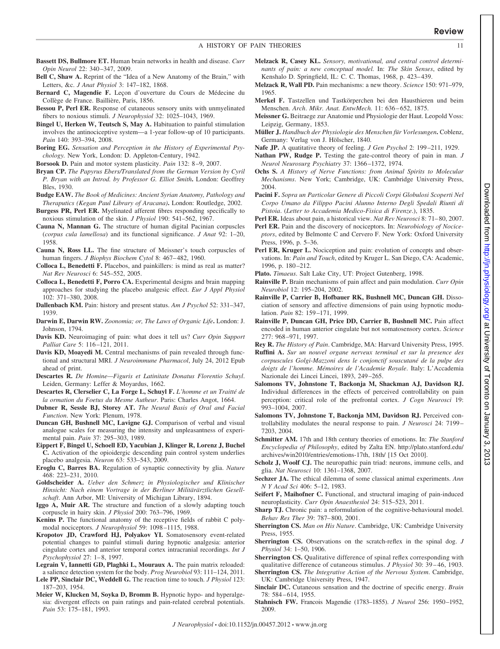- **Bassett DS, Bullmore ET.** Human brain networks in health and disease. *Curr Opin Neurol* 22: 340 –347, 2009.
- **Bell C, Shaw A.** Reprint of the "Idea of a New Anatomy of the Brain," with Letters, &c. *J Anat Physiol* 3: 147–182, 1868.
- **Bernard C, Magendie F.** Leçon d'ouverture du Cours de Médecine du Collège de France. Baillière, Paris, 1856.
- **Bessou P, Perl ER.** Response of cutaneous sensory units with unmyelinated fibers to noxious stimuli. *J Neurophysiol* 32: 1025–1043, 1969.
- **Bingel U, Herken W, Teutsch S, May A.** Habituation to painful stimulation involves the antinociceptive system—a 1-year follow-up of 10 participants. *Pain* 140: 393–394, 2008.
- **Boring EG.** *Sensation and Perception in the History of Experimental Psychology.* New York, London: D. Appleton-Century, 1942.
- **Borsook D.** Pain and motor system plasticity. *Pain* 132: 8 –9, 2007.
- **Bryan CP.** *The Papyrus Ebers/Translated from the German Version by Cyril P. Bryan with an Introd. by Professor G. Elliot Smith***.** London: Geoffrey Bles, 1930.
- **Budge EAW.** *The Book of Medicines: Ancient Syrian Anatomy, Pathology and Theraputics (Kegan Paul Library of Aracana)***.** London: Routledge, 2002.
- **Burgess PR, Perl ER.** Myelinated afferent fibres responding specifically to noxious stimulation of the skin. *J Physiol* 190: 541–562, 1967.
- **Cauna N, Mannan G.** The structure of human digital Pacinian corpuscles (*corpus cula lamellosa*) and its functional significance. *J Anat* 92: 1–20, 1958.
- **Cauna N, Ross LL.** The fine structure of Meissner's touch corpuscles of human fingers. *J Biophys Biochem Cytol* 8: 467– 482, 1960.
- **Colloca L, Benedetti F.** Placebos, and painkillers: is mind as real as matter? *Nat Rev Neurosci* 6: 545–552, 2005.
- **Colloca L, Benedetti F, Porro CA.** Experimental designs and brain mapping approaches for studying the placebo analgesic effect. *Eur J Appl Physiol* 102: 371–380, 2008.
- **Dallenbach KM.** Pain: history and present status. *Am J Psychol* 52: 331–347, 1939.
- **Darwin E, Darwin RW.** *Zoonomia; or, The Laws of Organic Life***.** London: J. Johnson, 1794.
- **Davis KD.** Neuroimaging of pain: what does it tell us? *Curr Opin Support Palliat Care* 5: 116 –121, 2011.
- **Davis KD, Moayedi M.** Central mechanisms of pain revealed through functional and structural MRI. *J Neuroimmune Pharmacol*, July 24, 2012 Epub ahead of print.
- **Descartes R.** *De Homine—Figuris et Latinitate Donatus Florentio Schuyl*. Leiden, Germany: Leffer & Moyardus, 1662.
- **Descartes R, Clerselier C, La Forge L, Schuyl F.** *L'homme et un Traitté de la ormation du Foetus du Mesme Autheur*. Paris: Charles Angot, 1664.
- **Dubner R, Sessle BJ, Storey AT.** *The Neural Basis of Oral and Facial Function*. New York: Plenum, 1978.
- **Duncan GH, Bushnell MC, Lavigne GJ.** Comparison of verbal and visual analogue scales for measuring the intensity and unpleasantness of experimental pain. *Pain* 37: 295–303, 1989.
- **Eippert F, Bingel U, Schoell ED, Yacubian J, Klinger R, Lorenz J, Buchel C.** Activation of the opioidergic descending pain control system underlies placebo analgesia. *Neuron* 63: 533–543, 2009.
- **Eroglu C, Barres BA.** Regulation of synaptic connectivity by glia. *Nature* 468: 223–231, 2010.
- **Goldscheider A.** *Ueber den Schmerz in Physiologischer und Klinischer Hinsicht: Nach einem Vortrage in der Berliner Militärärztlichen Gesellschaft*. Ann Arbor, MI: University of Michigan Library, 1894.
- **Iggo A, Muir AR.** The structure and function of a slowly adapting touch corpuscle in hairy skin. *J Physiol* 200: 763–796, 1969.
- **Kenins P.** The functional anatomy of the receptive fields of rabbit C polymodal nociceptors. *J Neurophysiol* 59: 1098 –1115, 1988.
- **Kropotov JD, Crawford HJ, Polyakov YI.** Somatosensory event-related potential changes to painful stimuli during hypnotic analgesia: anterior cingulate cortex and anterior temporal cortex intracranial recordings. *Int J Psychophysiol* 27: 1– 8, 1997.
- **Legrain V, Iannetti GD, Plaghki L, Mouraux A.** The pain matrix reloaded: a salience detection system for the body. *Prog Neurobiol* 93: 111–124, 2011.
- **Lele PP, Sinclair DC, Weddell G.** The reaction time to touch. *J Physiol* 123: 187–203, 1954.
- **Meier W, Klucken M, Soyka D, Bromm B.** Hypnotic hypo- and hyperalgesia: divergent effects on pain ratings and pain-related cerebral potentials. *Pain* 53: 175–181, 1993.
- **Melzack R, Casey KL.** *Sensory, motivational, and central control determinants of pain: a new conceptual model.* In: *The Skin Senses*, edited by Kenshalo D. Springfield, IL: C. C. Thomas, 1968, p. 423– 439.
- **Melzack R, Wall PD.** Pain mechanisms: a new theory. *Science* 150: 971–979, 1965.
- **Merkel F.** Tastzellen und Tastkörperchen bei den Hausthieren und beim Menschen. *Arch*. *Mikr. Anat. EntwMech.* 11: 636 – 652, 1875.
- **Meissner G.** Beitraege zur Anatomie und Physiologie der Haut. Leopold Voss: Leipzig, Germany, 1853.
- **Müller J.** *Handbuch der Physiologie des Menschen für Vorlesungen***.** Coblenz, Germany: Verlag von J. Hölscher, 1840.
- Nafe JP. A quatitative theory of feeling. *J Gen Psychol* 2: 199-211, 1929.
- **Nathan PW, Rudge P.** Testing the gate-control theory of pain in man. *J Neurol Neurosurg Psychiatry* 37: 1366 –1372, 1974.
- **Ochs S.** *A History of Nerve Functions: from Animal Spirits to Molecular Mechanisms*. New York; Cambridge, UK: Cambridge University Press, 2004.
- **Pacini F.** *Sopra un Particolar Genere di Piccoli Corpi Globulosi Scoperti Nel Corpo Umano da Filippo Pacini Alunno Interno Degli Spedali Riunti di Pistoia*. (*Letter to Accademia Medico-Fisica di Firenze*.), 1835.
- **Perl ER.** Ideas about pain, a historical view. *Nat Rev Neurosci* 8: 71– 80, 2007.
- **Perl ER.** Pain and the discovery of nociceptors. In: *Neurobiology of Nociceptors*, edited by Belmonte C and Cervero F. New York: Oxford University Press, 1996, p. 5–36.
- Perl ER, Kruger L. Nociception and pain: evolution of concepts and observations. In: *Pain and Touch*, edited by Kruger L. San Diego, CA: Academic, 1996, p. 180 –212.
- **Plato.** *Timaeus*. Salt Lake City, UT: Project Gutenberg, 1998.
- **Rainville P.** Brain mechanisms of pain affect and pain modulation. *Curr Opin Neurobiol* 12: 195–204, 2002.
- **Rainville P, Carrier B, Hofbauer RK, Bushnell MC, Duncan GH.** Dissociation of sensory and affective dimensions of pain using hypnotic modulation. *Pain* 82: 159 –171, 1999.
- **Rainville P, Duncan GH, Price DD, Carrier B, Bushnell MC.** Pain affect encoded in human anterior cingulate but not somatosensory cortex. *Science* 277: 968 –971, 1997.
- **Rey R.** *The History of Pain*. Cambridge, MA: Harvard University Press, 1995. **Ruffini A.** *Sur un nouvel organe nerveux terminal et sur la presence des*
- *corpuscules Golgi-Mazzoni dens le conjonctif souscutané de la pulpe des doigts de l'homme. Mémoires de l'Academie Royale*. Italy: L'Accademia Nazionale dei Lincei Lincei, 1893, 249 –265.
- **Salomons TV, Johnstone T, Backonja M, Shackman AJ, Davidson RJ.** Individual differences in the effects of perceived controllability on pain perception: critical role of the prefrontal cortex. *J Cogn Neurosci* 19: 993–1004, 2007.
- **Salomons TV, Johnstone T, Backonja MM, Davidson RJ.** Perceived controllability modulates the neural response to pain. *J Neurosci* 24: 7199 – 7203, 2004.
- **Schmitter AM.** 17th and 18th century theories of emotions. In: *The Stanford Encyclopedia of Philosophy*, edited by Zalta EN. http://plato.stanford.edu/ archives/win2010/entries/emotions-17th, 18th/ [15 Oct 2010].
- **Scholz J, Woolf CJ.** The neuropathic pain triad: neurons, immune cells, and glia. *Nat Neurosci* 10: 1361–1368, 2007.
- **Sechzer JA.** The ethical dilemma of some classical animal experiments. *Ann N Y Acad Sci* 406: 5–12, 1983.
- **Seifert F, Maihofner C.** Functional, and structural imaging of pain-induced neuroplasticity. *Curr Opin Anaesthesiol* 24: 515–523, 2011.
- Sharp TJ. Chronic pain: a reformulation of the cognitive-behavioural model. *Behav Res Ther* 39: 787– 800, 2001.
- **Sherrington CS.** *Man on His Nature*. Cambridge, UK: Cambridge University Press, 1955.
- **Sherrington CS.** Observations on the scratch-reflex in the spinal dog. *J Physiol* 34: 1–50, 1906.
- **Sherrington CS.** Qualitative difference of spinal reflex corresponding with qualitative difference of cutaneous stimulus. *J Physiol* 30: 39 – 46, 1903.
- **Sherrington CS.** *The Integrative Action of the Nervous System*. Cambridge, UK: Cambridge University Press, 1947.
- **Sinclair DC.** Cutaneous sensation and the doctrine of specific energy. *Brain* 78: 584 – 614, 1955.
- **Stahnisch FW.** Francois Magendie (1783–1855). *J Neurol* 256: 1950 –1952, 2009.

at University of Toronto on January 3, 2013 <http://jn.physiology.org/> Downloaded from

at University of

Toronto

**Visune** no

س 2013

from http://jn.physiology.org/

Downloaded